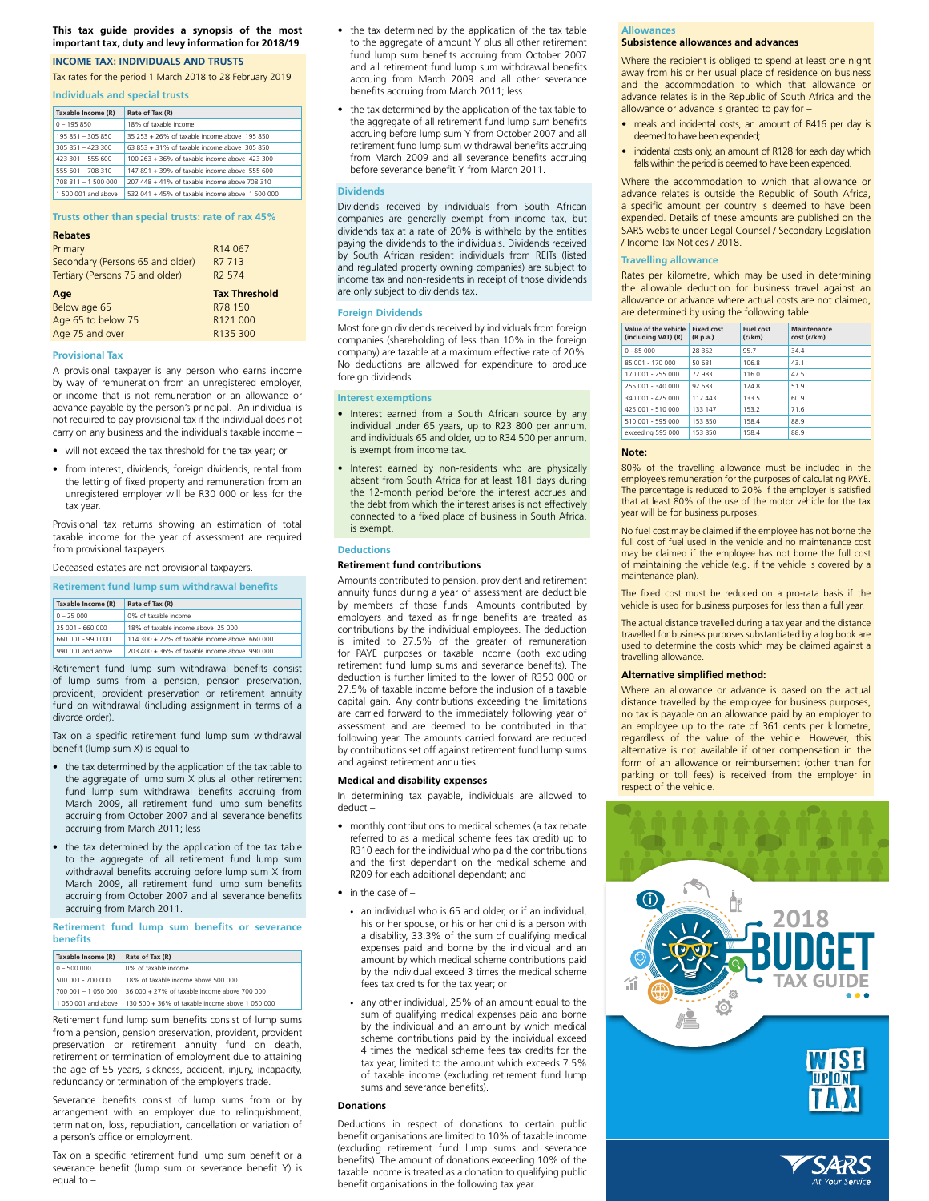# **This tax guide provides a synopsis of the most important tax, duty and levy information for 2018/19**.

# **INCOME TAX: INDIVIDUALS AND TRUSTS**

Tax rates for the period 1 March 2018 to 28 February 2019

#### **Individuals and special trusts**

| Taxable Income (R)  | Rate of Tax (R)                                 |
|---------------------|-------------------------------------------------|
| $0 - 195.850$       | 18% of taxable income                           |
| 195 851 - 305 850   | 35 253 + 26% of taxable income above 195 850    |
| $305.851 - 423.300$ | 63 853 + 31% of taxable income above 305 850    |
| 423 301 - 555 600   | 100.263 + 36% of taxable income above 423.300   |
| 555 601 - 708 310   | 147 891 + 39% of taxable income above 555 600   |
| 708 311 - 1 500 000 | 207 448 + 41% of taxable income above 708 310   |
| 1.500.001 and above | 532.041 + 45% of taxable income above 1.500.000 |

# **Trusts other than special trusts: rate of rax 45%**

| <b>Rebates</b>                   |                      |
|----------------------------------|----------------------|
| Primary                          | R <sub>14</sub> 067  |
| Secondary (Persons 65 and older) | R7 713               |
| Tertiary (Persons 75 and older)  | R <sub>2</sub> 574   |
|                                  |                      |
| Age                              | <b>Tax Threshold</b> |
| Below age 65                     | R78 150              |
| Age 65 to below 75               | R <sub>121</sub> 000 |

# **Provisional Tax**

A provisional taxpayer is any person who earns income by way of remuneration from an unregistered employer, or income that is not remuneration or an allowance or advance payable by the person's principal. An individual is not required to pay provisional tax if the individual does not carry on any business and the individual's taxable income –

- • will not exceed the tax threshold for the tax year; or
- • from interest, dividends, foreign dividends, rental from the letting of fixed property and remuneration from an unregistered employer will be R30 000 or less for the tax year.

Provisional tax returns showing an estimation of total taxable income for the year of assessment are required from provisional taxpayers.

Deceased estates are not provisional taxpayers.

#### **Retirement fund lump sum withdrawal benefits**

| Taxable Income (R) | Rate of Tax (R)                               |
|--------------------|-----------------------------------------------|
| $0 - 25000$        | 0% of taxable income                          |
| 25 001 - 660 000   | 18% of taxable income above 25 000            |
| 660,001 - 990,000  | 114 300 + 27% of taxable income above 660 000 |
| 990.001 and above  | 203 400 + 36% of taxable income above 990 000 |

Retirement fund lump sum withdrawal benefits consist of lump sums from a pension, pension preservation, provident, provident preservation or retirement annuity fund on withdrawal (including assignment in terms of a divorce order).

Tax on a specific retirement fund lump sum withdrawal benefit (lump sum X) is equal to  $-$ 

- the tax determined by the application of the tax table to the aggregate of lump sum X plus all other retirement fund lump sum withdrawal benefits accruing from March 2009, all retirement fund lump sum benefits accruing from October 2007 and all severance benefits accruing from March 2011; less
- the tax determined by the application of the tax table to the aggregate of all retirement fund lump sum withdrawal benefits accruing before lump sum X from March 2009, all retirement fund lump sum benefits accruing from October 2007 and all severance benefits accruing from March 2011.

#### **Retirement fund lump sum benefits or severance benefits**

|  | Taxable Income (R)  | Rate of Tax (R)                                 |
|--|---------------------|-------------------------------------------------|
|  | $0 - 500000$        | 0% of taxable income                            |
|  | 500 001 - 700 000   | 18% of taxable income above 500 000             |
|  | 700 001 - 1 050 000 | 36 000 + 27% of taxable income above 700 000    |
|  | 1 050 001 and above | 130 500 + 36% of taxable income above 1 050 000 |

Retirement fund lump sum benefits consist of lump sums from a pension, pension preservation, provident, provident preservation or retirement annuity fund on death, retirement or termination of employment due to attaining the age of 55 years, sickness, accident, injury, incapacity, redundancy or termination of the employer's trade.

Severance benefits consist of lump sums from or by arrangement with an employer due to relinquishment, termination, loss, repudiation, cancellation or variation of a person's office or employment.

Tax on a specific retirement fund lump sum benefit or a severance benefit (lump sum or severance benefit Y) is equal to –

- the tax determined by the application of the tax table to the aggregate of amount Y plus all other retirement fund lump sum benefits accruing from October 2007 and all retirement fund lump sum withdrawal benefits accruing from March 2009 and all other severance benefits accruing from March 2011; less
- the tax determined by the application of the tax table to the aggregate of all retirement fund lump sum benefits accruing before lump sum Y from October 2007 and all retirement fund lump sum withdrawal benefits accruing from March 2009 and all severance benefits accruing before severance benefit Y from March 2011.

# **Dividends**

Dividends received by individuals from South African companies are generally exempt from income tax, but dividends tax at a rate of 20% is withheld by the entities paying the dividends to the individuals. Dividends received by South African resident individuals from REITs (listed and regulated property owning companies) are subject to income tax and non-residents in receipt of those dividends are only subject to dividends tax.

#### **Foreign Dividends**

Most foreign dividends received by individuals from foreign companies (shareholding of less than 10% in the foreign company) are taxable at a maximum effective rate of 20%. No deductions are allowed for expenditure to produce foreign dividends.

# **Interest exemptions**

- Interest earned from a South African source by any individual under 65 years, up to R23 800 per annum, and individuals 65 and older, up to R34 500 per annum, is exempt from income tax.
- Interest earned by non-residents who are physically absent from South Africa for at least 181 days during the 12-month period before the interest accrues and the debt from which the interest arises is not effectively connected to a fixed place of business in South Africa, is exempt.

# **Deductions**

# **Retirement fund contributions**

Amounts contributed to pension, provident and retirement annuity funds during a year of assessment are deductible by members of those funds. Amounts contributed by employers and taxed as fringe benefits are treated as contributions by the individual employees. The deduction is limited to 27.5% of the greater of remuneration for PAYE purposes or taxable income (both excluding retirement fund lump sums and severance benefits). The deduction is further limited to the lower of R350 000 or 27.5% of taxable income before the inclusion of a taxable capital gain. Any contributions exceeding the limitations are carried forward to the immediately following year of assessment and are deemed to be contributed in that following year. The amounts carried forward are reduced by contributions set off against retirement fund lump sums and against retirement annuities.

# **Medical and disability expenses**

In determining tax payable, individuals are allowed to deduct –

- • monthly contributions to medical schemes (a tax rebate referred to as a medical scheme fees tax credit) up to R310 each for the individual who paid the contributions and the first dependant on the medical scheme and R209 for each additional dependant; and
- in the case of
	- an individual who is 65 and older, or if an individual, his or her spouse, or his or her child is a person with a disability, 33.3% of the sum of qualifying medical expenses paid and borne by the individual and an amount by which medical scheme contributions paid by the individual exceed 3 times the medical scheme fees tax credits for the tax year; or
	- • any other individual, 25% of an amount equal to the sum of qualifying medical expenses paid and borne by the individual and an amount by which medical scheme contributions paid by the individual exceed 4 times the medical scheme fees tax credits for the tax year, limited to the amount which exceeds 7.5% of taxable income (excluding retirement fund lump sums and severance benefits).

# **Donations**

Deductions in respect of donations to certain public benefit organisations are limited to 10% of taxable income (excluding retirement fund lump sums and severance benefits). The amount of donations exceeding 10% of the taxable income is treated as a donation to qualifying public benefit organisations in the following tax year.

# **Allowances**

# **Subsistence allowances and advances**

Where the recipient is obliged to spend at least one night away from his or her usual place of residence on business and the accommodation to which that allowance or advance relates is in the Republic of South Africa and the allowance or advance is granted to pay for –

- meals and incidental costs, an amount of R416 per day is deemed to have been expended;
- incidental costs only, an amount of R128 for each day which falls within the period is deemed to have been expended.

Where the accommodation to which that allowance or advance relates is outside the Republic of South Africa, a specific amount per country is deemed to have been expended. Details of these amounts are published on the SARS website under Legal Counsel / Secondary Legislation / Income Tax Notices / 2018.

# **Travelling allowance**

Rates per kilometre, which may be used in determining the allowable deduction for business travel against an allowance or advance where actual costs are not claimed, are determined by using the following table:

| Value of the vehicle<br>(including VAT) (R) | <b>Fixed cost</b><br>(R p.a.) | Fuel cost<br>(c/km) | Maintenance<br>cost (c/km) |
|---------------------------------------------|-------------------------------|---------------------|----------------------------|
| $0 - 85000$                                 | 28352                         | 957                 | 344                        |
| 85 001 - 170 000                            | 50.631                        | 1068                | 431                        |
| 170 001 - 255 000                           | 72 983                        | 1160                | 475                        |
| 255 001 - 340 000                           | 92 683                        | 1248                | 519                        |
| 340 001 - 425 000                           | 112 443                       | 1335                | 60.9                       |
| 425 001 - 510 000                           | 133 147                       | 1532                | 71.6                       |
| 510 001 - 595 000                           | 153850                        | 1584                | 889                        |
| exceeding 595 000                           | 153 850                       | 1584                | 889                        |

# **Note:**

80% of the travelling allowance must be included in the employee's remuneration for the purposes of calculating PAYE. The percentage is reduced to 20% if the employer is satisfied that at least 80% of the use of the motor vehicle for the tax year will be for business purposes.

No fuel cost may be claimed if the employee has not borne the full cost of fuel used in the vehicle and no maintenance cost may be claimed if the employee has not borne the full cost of maintaining the vehicle (e.g. if the vehicle is covered by a maintenance plan).

The fixed cost must be reduced on a pro-rata basis if the vehicle is used for business purposes for less than a full year.

The actual distance travelled during a tax year and the distance travelled for business purposes substantiated by a log book are used to determine the costs which may be claimed against a travelling allowance.

# **Alternative simplified method:**

Where an allowance or advance is based on the actual distance travelled by the employee for business purposes, no tax is payable on an allowance paid by an employer to an employee up to the rate of 361 cents per kilometre, regardless of the value of the vehicle. However, this alternative is not available if other compensation in the form of an allowance or reimbursement (other than for parking or toll fees) is received from the employer in respect of the vehicle.